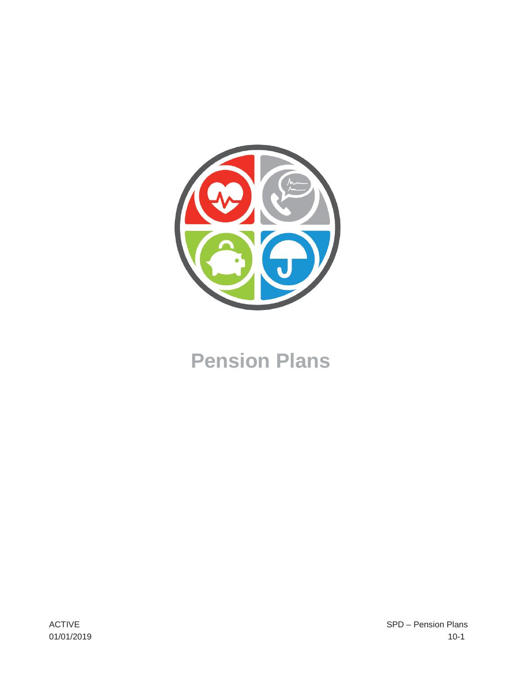

# **Pension Plans**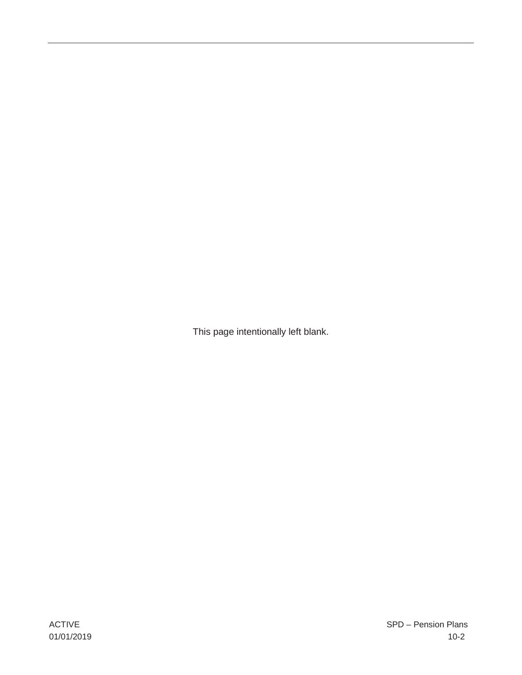This page intentionally left blank.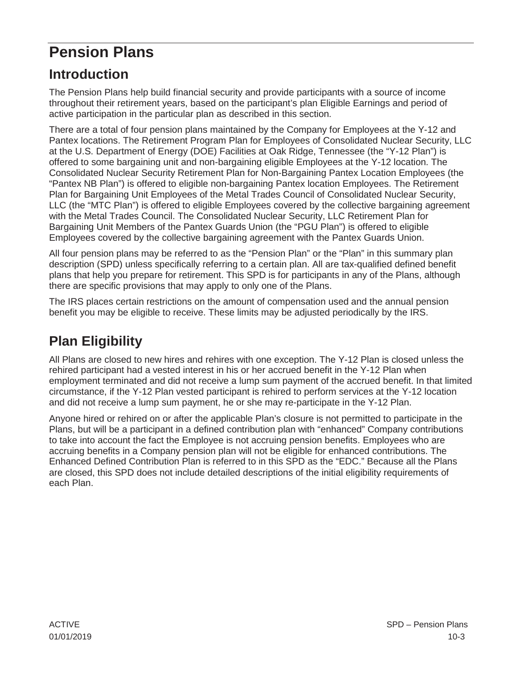# **Pension Plans**

## **Introduction**

The Pension Plans help build financial security and provide participants with a source of income throughout their retirement years, based on the participant's plan Eligible Earnings and period of active participation in the particular plan as described in this section.

There are a total of four pension plans maintained by the Company for Employees at the Y-12 and Pantex locations. The Retirement Program Plan for Employees of Consolidated Nuclear Security, LLC at the U.S. Department of Energy (DOE) Facilities at Oak Ridge, Tennessee (the "Y-12 Plan") is offered to some bargaining unit and non-bargaining eligible Employees at the Y-12 location. The Consolidated Nuclear Security Retirement Plan for Non-Bargaining Pantex Location Employees (the "Pantex NB Plan") is offered to eligible non-bargaining Pantex location Employees. The Retirement Plan for Bargaining Unit Employees of the Metal Trades Council of Consolidated Nuclear Security, LLC (the "MTC Plan") is offered to eligible Employees covered by the collective bargaining agreement with the Metal Trades Council. The Consolidated Nuclear Security, LLC Retirement Plan for Bargaining Unit Members of the Pantex Guards Union (the "PGU Plan") is offered to eligible Employees covered by the collective bargaining agreement with the Pantex Guards Union.

All four pension plans may be referred to as the "Pension Plan" or the "Plan" in this summary plan description (SPD) unless specifically referring to a certain plan. All are tax-qualified defined benefit plans that help you prepare for retirement. This SPD is for participants in any of the Plans, although there are specific provisions that may apply to only one of the Plans.

The IRS places certain restrictions on the amount of compensation used and the annual pension benefit you may be eligible to receive. These limits may be adjusted periodically by the IRS.

# **Plan Eligibility**

All Plans are closed to new hires and rehires with one exception. The Y-12 Plan is closed unless the rehired participant had a vested interest in his or her accrued benefit in the Y-12 Plan when employment terminated and did not receive a lump sum payment of the accrued benefit. In that limited circumstance, if the Y-12 Plan vested participant is rehired to perform services at the Y-12 location and did not receive a lump sum payment, he or she may re-participate in the Y-12 Plan.

Anyone hired or rehired on or after the applicable Plan's closure is not permitted to participate in the Plans, but will be a participant in a defined contribution plan with "enhanced" Company contributions to take into account the fact the Employee is not accruing pension benefits. Employees who are accruing benefits in a Company pension plan will not be eligible for enhanced contributions. The Enhanced Defined Contribution Plan is referred to in this SPD as the "EDC." Because all the Plans are closed, this SPD does not include detailed descriptions of the initial eligibility requirements of each Plan.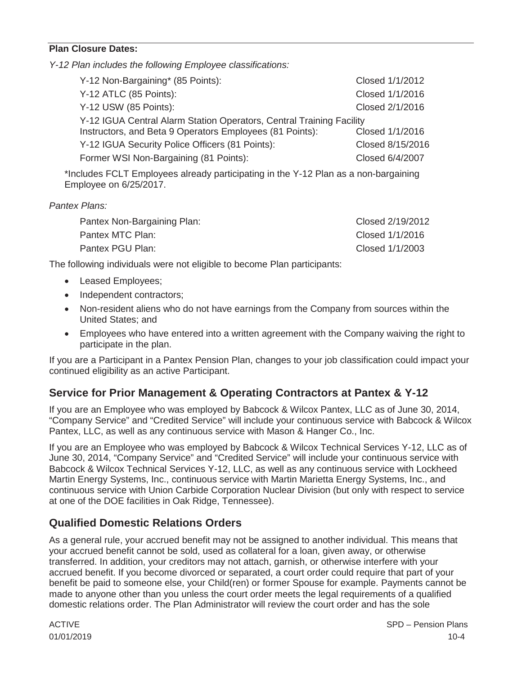#### **Plan Closure Dates:**

*Y-12 Plan includes the following Employee classifications:*

| Y-12 Non-Bargaining* (85 Points):                                                                                                | Closed 1/1/2012  |
|----------------------------------------------------------------------------------------------------------------------------------|------------------|
| Y-12 ATLC (85 Points):                                                                                                           | Closed 1/1/2016  |
| Y-12 USW (85 Points):                                                                                                            | Closed 2/1/2016  |
| Y-12 IGUA Central Alarm Station Operators, Central Training Facility<br>Instructors, and Beta 9 Operators Employees (81 Points): | Closed 1/1/2016  |
| Y-12 IGUA Security Police Officers (81 Points):                                                                                  | Closed 8/15/2016 |
| Former WSI Non-Bargaining (81 Points):                                                                                           | Closed 6/4/2007  |

\*Includes FCLT Employees already participating in the Y-12 Plan as a non-bargaining Employee on 6/25/2017.

*Pantex Plans:*

| Pantex Non-Bargaining Plan: | Closed 2/19/2012 |
|-----------------------------|------------------|
| Pantex MTC Plan:            | Closed 1/1/2016  |
| Pantex PGU Plan:            | Closed 1/1/2003  |

The following individuals were not eligible to become Plan participants:

- Leased Employees;
- Independent contractors;
- Non-resident aliens who do not have earnings from the Company from sources within the United States; and
- Employees who have entered into a written agreement with the Company waiving the right to participate in the plan.

If you are a Participant in a Pantex Pension Plan, changes to your job classification could impact your continued eligibility as an active Participant.

#### **Service for Prior Management & Operating Contractors at Pantex & Y-12**

If you are an Employee who was employed by Babcock & Wilcox Pantex, LLC as of June 30, 2014, "Company Service" and "Credited Service" will include your continuous service with Babcock & Wilcox Pantex, LLC, as well as any continuous service with Mason & Hanger Co., Inc.

If you are an Employee who was employed by Babcock & Wilcox Technical Services Y-12, LLC as of June 30, 2014, "Company Service" and "Credited Service" will include your continuous service with Babcock & Wilcox Technical Services Y-12, LLC, as well as any continuous service with Lockheed Martin Energy Systems, Inc., continuous service with Martin Marietta Energy Systems, Inc., and continuous service with Union Carbide Corporation Nuclear Division (but only with respect to service at one of the DOE facilities in Oak Ridge, Tennessee).

#### **Qualified Domestic Relations Orders**

As a general rule, your accrued benefit may not be assigned to another individual. This means that your accrued benefit cannot be sold, used as collateral for a loan, given away, or otherwise transferred. In addition, your creditors may not attach, garnish, or otherwise interfere with your accrued benefit. If you become divorced or separated, a court order could require that part of your benefit be paid to someone else, your Child(ren) or former Spouse for example. Payments cannot be made to anyone other than you unless the court order meets the legal requirements of a qualified domestic relations order. The Plan Administrator will review the court order and has the sole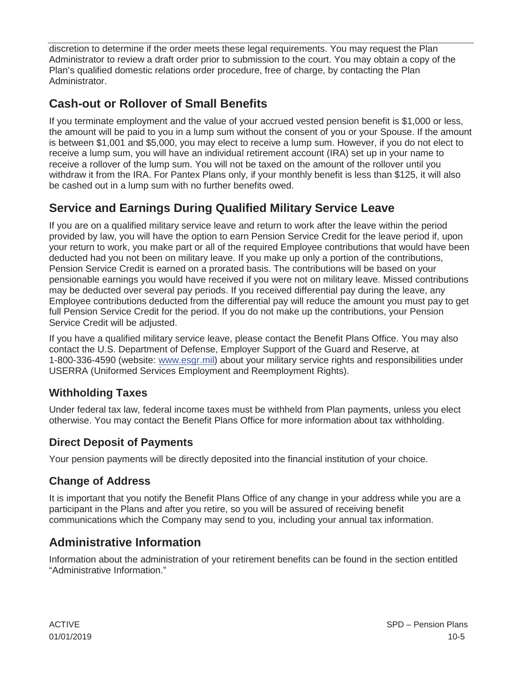discretion to determine if the order meets these legal requirements. You may request the Plan Administrator to review a draft order prior to submission to the court. You may obtain a copy of the Plan's qualified domestic relations order procedure, free of charge, by contacting the Plan Administrator.

### **Cash-out or Rollover of Small Benefits**

If you terminate employment and the value of your accrued vested pension benefit is \$1,000 or less, the amount will be paid to you in a lump sum without the consent of you or your Spouse. If the amount is between \$1,001 and \$5,000, you may elect to receive a lump sum. However, if you do not elect to receive a lump sum, you will have an individual retirement account (IRA) set up in your name to receive a rollover of the lump sum. You will not be taxed on the amount of the rollover until you withdraw it from the IRA. For Pantex Plans only, if your monthly benefit is less than \$125, it will also be cashed out in a lump sum with no further benefits owed.

### **Service and Earnings During Qualified Military Service Leave**

If you are on a qualified military service leave and return to work after the leave within the period provided by law, you will have the option to earn Pension Service Credit for the leave period if, upon your return to work, you make part or all of the required Employee contributions that would have been deducted had you not been on military leave. If you make up only a portion of the contributions, Pension Service Credit is earned on a prorated basis. The contributions will be based on your pensionable earnings you would have received if you were not on military leave. Missed contributions may be deducted over several pay periods. If you received differential pay during the leave, any Employee contributions deducted from the differential pay will reduce the amount you must pay to get full Pension Service Credit for the period. If you do not make up the contributions, your Pension Service Credit will be adjusted.

If you have a qualified military service leave, please contact the Benefit Plans Office. You may also contact the U.S. Department of Defense, Employer Support of the Guard and Reserve, at 1-800-336-4590 (website: www.esgr.mil) about your military service rights and responsibilities under USERRA (Uniformed Services Employment and Reemployment Rights).

### **Withholding Taxes**

Under federal tax law, federal income taxes must be withheld from Plan payments, unless you elect otherwise. You may contact the Benefit Plans Office for more information about tax withholding.

#### **Direct Deposit of Payments**

Your pension payments will be directly deposited into the financial institution of your choice.

#### **Change of Address**

It is important that you notify the Benefit Plans Office of any change in your address while you are a participant in the Plans and after you retire, so you will be assured of receiving benefit communications which the Company may send to you, including your annual tax information.

### **Administrative Information**

Information about the administration of your retirement benefits can be found in the section entitled "Administrative Information."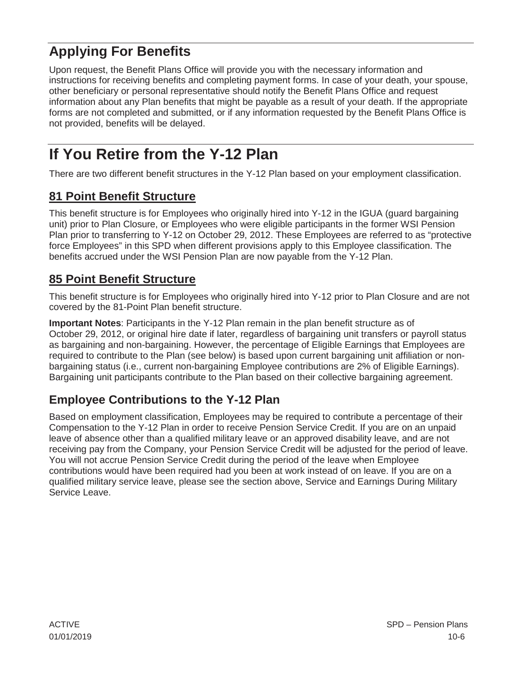# **Applying For Benefits**

Upon request, the Benefit Plans Office will provide you with the necessary information and instructions for receiving benefits and completing payment forms. In case of your death, your spouse, other beneficiary or personal representative should notify the Benefit Plans Office and request information about any Plan benefits that might be payable as a result of your death. If the appropriate forms are not completed and submitted, or if any information requested by the Benefit Plans Office is not provided, benefits will be delayed.

# **If You Retire from the Y-12 Plan**

There are two different benefit structures in the Y-12 Plan based on your employment classification.

### **81 Point Benefit Structure**

This benefit structure is for Employees who originally hired into Y-12 in the IGUA (guard bargaining unit) prior to Plan Closure, or Employees who were eligible participants in the former WSI Pension Plan prior to transferring to Y-12 on October 29, 2012. These Employees are referred to as "protective force Employees" in this SPD when different provisions apply to this Employee classification. The benefits accrued under the WSI Pension Plan are now payable from the Y-12 Plan.

#### **85 Point Benefit Structure**

This benefit structure is for Employees who originally hired into Y-12 prior to Plan Closure and are not covered by the 81-Point Plan benefit structure.

**Important Notes**: Participants in the Y-12 Plan remain in the plan benefit structure as of October 29, 2012, or original hire date if later, regardless of bargaining unit transfers or payroll status as bargaining and non-bargaining. However, the percentage of Eligible Earnings that Employees are required to contribute to the Plan (see below) is based upon current bargaining unit affiliation or nonbargaining status (i.e., current non-bargaining Employee contributions are 2% of Eligible Earnings). Bargaining unit participants contribute to the Plan based on their collective bargaining agreement.

### **Employee Contributions to the Y-12 Plan**

Based on employment classification, Employees may be required to contribute a percentage of their Compensation to the Y-12 Plan in order to receive Pension Service Credit. If you are on an unpaid leave of absence other than a qualified military leave or an approved disability leave, and are not receiving pay from the Company, your Pension Service Credit will be adjusted for the period of leave. You will not accrue Pension Service Credit during the period of the leave when Employee contributions would have been required had you been at work instead of on leave. If you are on a qualified military service leave, please see the section above, Service and Earnings During Military Service Leave.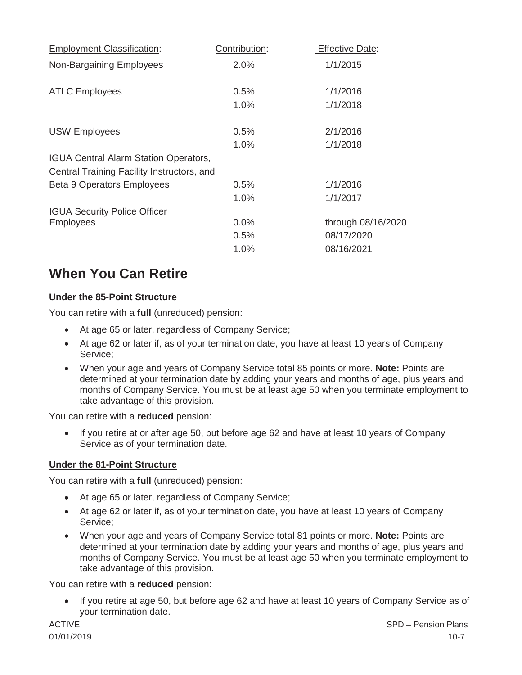| <b>Employment Classification:</b>            | Contribution: | <b>Effective Date:</b> |
|----------------------------------------------|---------------|------------------------|
| Non-Bargaining Employees                     | 2.0%          | 1/1/2015               |
| <b>ATLC Employees</b>                        | 0.5%          | 1/1/2016               |
|                                              | 1.0%          | 1/1/2018               |
| <b>USW Employees</b>                         | 0.5%          | 2/1/2016               |
|                                              | 1.0%          | 1/1/2018               |
| <b>IGUA Central Alarm Station Operators,</b> |               |                        |
| Central Training Facility Instructors, and   |               |                        |
| <b>Beta 9 Operators Employees</b>            | 0.5%          | 1/1/2016               |
|                                              | 1.0%          | 1/1/2017               |
| <b>IGUA Security Police Officer</b>          |               |                        |
| <b>Employees</b>                             | 0.0%          | through 08/16/2020     |
|                                              | 0.5%          | 08/17/2020             |
|                                              | 1.0%          | 08/16/2021             |

### **When You Can Retire**

#### **Under the 85-Point Structure**

You can retire with a **full** (unreduced) pension:

- At age 65 or later, regardless of Company Service;
- At age 62 or later if, as of your termination date, you have at least 10 years of Company Service;
- When your age and years of Company Service total 85 points or more. **Note:** Points are determined at your termination date by adding your years and months of age, plus years and months of Company Service. You must be at least age 50 when you terminate employment to take advantage of this provision.

You can retire with a **reduced** pension:

• If you retire at or after age 50, but before age 62 and have at least 10 years of Company Service as of your termination date.

#### **Under the 81-Point Structure**

You can retire with a **full** (unreduced) pension:

- At age 65 or later, regardless of Company Service;
- At age 62 or later if, as of your termination date, you have at least 10 years of Company Service;
- When your age and years of Company Service total 81 points or more. **Note:** Points are determined at your termination date by adding your years and months of age, plus years and months of Company Service. You must be at least age 50 when you terminate employment to take advantage of this provision.

You can retire with a **reduced** pension:

• If you retire at age 50, but before age 62 and have at least 10 years of Company Service as of your termination date.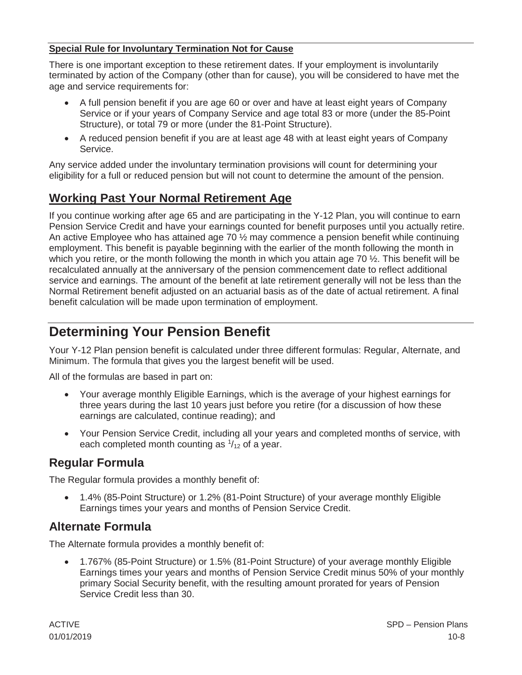#### **Special Rule for Involuntary Termination Not for Cause**

There is one important exception to these retirement dates. If your employment is involuntarily terminated by action of the Company (other than for cause), you will be considered to have met the age and service requirements for:

- A full pension benefit if you are age 60 or over and have at least eight years of Company Service or if your years of Company Service and age total 83 or more (under the 85-Point Structure), or total 79 or more (under the 81-Point Structure).
- A reduced pension benefit if you are at least age 48 with at least eight years of Company Service.

Any service added under the involuntary termination provisions will count for determining your eligibility for a full or reduced pension but will not count to determine the amount of the pension.

### **Working Past Your Normal Retirement Age**

If you continue working after age 65 and are participating in the Y-12 Plan, you will continue to earn Pension Service Credit and have your earnings counted for benefit purposes until you actually retire. An active Employee who has attained age 70 ½ may commence a pension benefit while continuing employment. This benefit is payable beginning with the earlier of the month following the month in which you retire, or the month following the month in which you attain age 70  $\frac{1}{2}$ . This benefit will be recalculated annually at the anniversary of the pension commencement date to reflect additional service and earnings. The amount of the benefit at late retirement generally will not be less than the Normal Retirement benefit adjusted on an actuarial basis as of the date of actual retirement. A final benefit calculation will be made upon termination of employment.

## **Determining Your Pension Benefit**

Your Y-12 Plan pension benefit is calculated under three different formulas: Regular, Alternate, and Minimum. The formula that gives you the largest benefit will be used.

All of the formulas are based in part on:

- Your average monthly Eligible Earnings, which is the average of your highest earnings for three years during the last 10 years just before you retire (for a discussion of how these earnings are calculated, continue reading); and
- Your Pension Service Credit, including all your years and completed months of service, with each completed month counting as  $\frac{1}{12}$  of a year.

### **Regular Formula**

The Regular formula provides a monthly benefit of:

• 1.4% (85-Point Structure) or 1.2% (81-Point Structure) of your average monthly Eligible Earnings times your years and months of Pension Service Credit.

#### **Alternate Formula**

The Alternate formula provides a monthly benefit of:

• 1.767% (85-Point Structure) or 1.5% (81-Point Structure) of your average monthly Eligible Earnings times your years and months of Pension Service Credit minus 50% of your monthly primary Social Security benefit, with the resulting amount prorated for years of Pension Service Credit less than 30.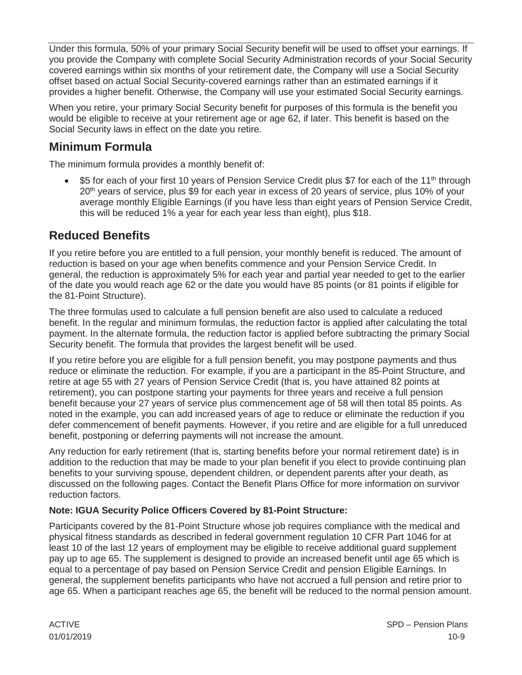Under this formula, 50% of your primary Social Security benefit will be used to offset your earnings. If you provide the Company with complete Social Security Administration records of your Social Security covered earnings within six months of your retirement date, the Company will use a Social Security offset based on actual Social Security-covered earnings rather than an estimated earnings if it provides a higher benefit. Otherwise, the Company will use your estimated Social Security earnings.

When you retire, your primary Social Security benefit for purposes of this formula is the benefit you would be eligible to receive at your retirement age or age 62, if later. This benefit is based on the Social Security laws in effect on the date you retire.

#### **Minimum Formula**

The minimum formula provides a monthly benefit of:

 $\bullet$  \$5 for each of your first 10 years of Pension Service Credit plus \$7 for each of the 11<sup>th</sup> through 20<sup>th</sup> years of service, plus \$9 for each year in excess of 20 years of service, plus 10% of your average monthly Eligible Earnings (if you have less than eight years of Pension Service Credit, this will be reduced 1% a year for each year less than eight), plus \$18.

### **Reduced Benefits**

If you retire before you are entitled to a full pension, your monthly benefit is reduced. The amount of reduction is based on your age when benefits commence and your Pension Service Credit. In general, the reduction is approximately 5% for each year and partial year needed to get to the earlier of the date you would reach age 62 or the date you would have 85 points (or 81 points if eligible for the 81-Point Structure).

The three formulas used to calculate a full pension benefit are also used to calculate a reduced benefit. In the regular and minimum formulas, the reduction factor is applied after calculating the total payment. In the alternate formula, the reduction factor is applied before subtracting the primary Social Security benefit. The formula that provides the largest benefit will be used.

If you retire before you are eligible for a full pension benefit, you may postpone payments and thus reduce or eliminate the reduction. For example, if you are a participant in the 85-Point Structure, and retire at age 55 with 27 years of Pension Service Credit (that is, you have attained 82 points at retirement), you can postpone starting your payments for three years and receive a full pension benefit because your 27 years of service plus commencement age of 58 will then total 85 points. As noted in the example, you can add increased years of age to reduce or eliminate the reduction if you defer commencement of benefit payments. However, if you retire and are eligible for a full unreduced benefit, postponing or deferring payments will not increase the amount.

Any reduction for early retirement (that is, starting benefits before your normal retirement date) is in addition to the reduction that may be made to your plan benefit if you elect to provide continuing plan benefits to your surviving spouse, dependent children, or dependent parents after your death, as discussed on the following pages. Contact the Benefit Plans Office for more information on survivor reduction factors.

#### **Note: IGUA Security Police Officers Covered by 81-Point Structure:**

Participants covered by the 81-Point Structure whose job requires compliance with the medical and physical fitness standards as described in federal government regulation 10 CFR Part 1046 for at least 10 of the last 12 years of employment may be eligible to receive additional guard supplement pay up to age 65. The supplement is designed to provide an increased benefit until age 65 which is equal to a percentage of pay based on Pension Service Credit and pension Eligible Earnings. In general, the supplement benefits participants who have not accrued a full pension and retire prior to age 65. When a participant reaches age 65, the benefit will be reduced to the normal pension amount.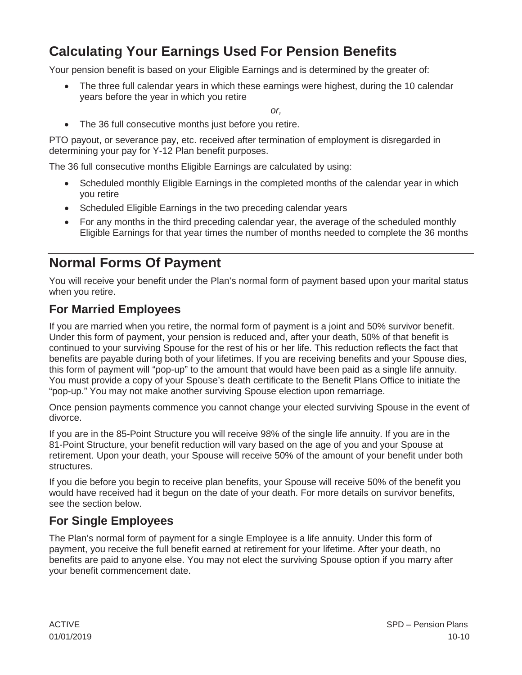## **Calculating Your Earnings Used For Pension Benefits**

Your pension benefit is based on your Eligible Earnings and is determined by the greater of:

• The three full calendar years in which these earnings were highest, during the 10 calendar years before the year in which you retire

*or,*

• The 36 full consecutive months just before you retire.

PTO payout, or severance pay, etc. received after termination of employment is disregarded in determining your pay for Y-12 Plan benefit purposes.

The 36 full consecutive months Eligible Earnings are calculated by using:

- Scheduled monthly Eligible Earnings in the completed months of the calendar year in which you retire
- Scheduled Eligible Earnings in the two preceding calendar years
- For any months in the third preceding calendar year, the average of the scheduled monthly Eligible Earnings for that year times the number of months needed to complete the 36 months

### **Normal Forms Of Payment**

You will receive your benefit under the Plan's normal form of payment based upon your marital status when you retire.

#### **For Married Employees**

If you are married when you retire, the normal form of payment is a joint and 50% survivor benefit. Under this form of payment, your pension is reduced and, after your death, 50% of that benefit is continued to your surviving Spouse for the rest of his or her life. This reduction reflects the fact that benefits are payable during both of your lifetimes. If you are receiving benefits and your Spouse dies, this form of payment will "pop-up" to the amount that would have been paid as a single life annuity. You must provide a copy of your Spouse's death certificate to the Benefit Plans Office to initiate the "pop-up." You may not make another surviving Spouse election upon remarriage.

Once pension payments commence you cannot change your elected surviving Spouse in the event of divorce.

If you are in the 85-Point Structure you will receive 98% of the single life annuity. If you are in the 81-Point Structure, your benefit reduction will vary based on the age of you and your Spouse at retirement. Upon your death, your Spouse will receive 50% of the amount of your benefit under both structures.

If you die before you begin to receive plan benefits, your Spouse will receive 50% of the benefit you would have received had it begun on the date of your death. For more details on survivor benefits, see the section below.

#### **For Single Employees**

The Plan's normal form of payment for a single Employee is a life annuity. Under this form of payment, you receive the full benefit earned at retirement for your lifetime. After your death, no benefits are paid to anyone else. You may not elect the surviving Spouse option if you marry after your benefit commencement date.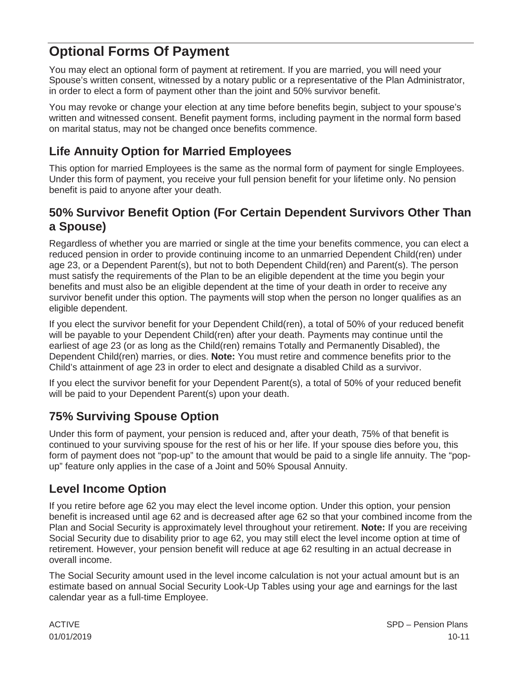## **Optional Forms Of Payment**

You may elect an optional form of payment at retirement. If you are married, you will need your Spouse's written consent, witnessed by a notary public or a representative of the Plan Administrator, in order to elect a form of payment other than the joint and 50% survivor benefit.

You may revoke or change your election at any time before benefits begin, subject to your spouse's written and witnessed consent. Benefit payment forms, including payment in the normal form based on marital status, may not be changed once benefits commence.

### **Life Annuity Option for Married Employees**

This option for married Employees is the same as the normal form of payment for single Employees. Under this form of payment, you receive your full pension benefit for your lifetime only. No pension benefit is paid to anyone after your death.

#### **50% Survivor Benefit Option (For Certain Dependent Survivors Other Than a Spouse)**

Regardless of whether you are married or single at the time your benefits commence, you can elect a reduced pension in order to provide continuing income to an unmarried Dependent Child(ren) under age 23, or a Dependent Parent(s), but not to both Dependent Child(ren) and Parent(s). The person must satisfy the requirements of the Plan to be an eligible dependent at the time you begin your benefits and must also be an eligible dependent at the time of your death in order to receive any survivor benefit under this option. The payments will stop when the person no longer qualifies as an eligible dependent.

If you elect the survivor benefit for your Dependent Child(ren), a total of 50% of your reduced benefit will be payable to your Dependent Child(ren) after your death. Payments may continue until the earliest of age 23 (or as long as the Child(ren) remains Totally and Permanently Disabled), the Dependent Child(ren) marries, or dies. **Note:** You must retire and commence benefits prior to the Child's attainment of age 23 in order to elect and designate a disabled Child as a survivor.

If you elect the survivor benefit for your Dependent Parent(s), a total of 50% of your reduced benefit will be paid to your Dependent Parent(s) upon your death.

### **75% Surviving Spouse Option**

Under this form of payment, your pension is reduced and, after your death, 75% of that benefit is continued to your surviving spouse for the rest of his or her life. If your spouse dies before you, this form of payment does not "pop-up" to the amount that would be paid to a single life annuity. The "popup" feature only applies in the case of a Joint and 50% Spousal Annuity.

### **Level Income Option**

If you retire before age 62 you may elect the level income option. Under this option, your pension benefit is increased until age 62 and is decreased after age 62 so that your combined income from the Plan and Social Security is approximately level throughout your retirement. **Note:** If you are receiving Social Security due to disability prior to age 62, you may still elect the level income option at time of retirement. However, your pension benefit will reduce at age 62 resulting in an actual decrease in overall income.

The Social Security amount used in the level income calculation is not your actual amount but is an estimate based on annual Social Security Look-Up Tables using your age and earnings for the last calendar year as a full-time Employee.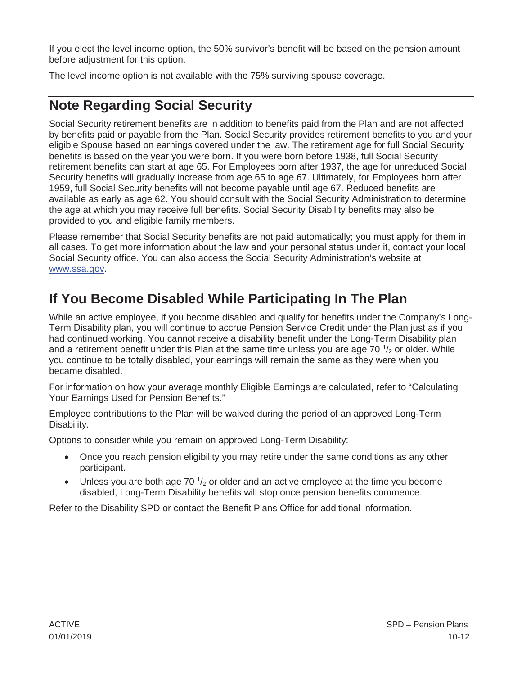If you elect the level income option, the 50% survivor's benefit will be based on the pension amount before adjustment for this option.

The level income option is not available with the 75% surviving spouse coverage.

## **Note Regarding Social Security**

Social Security retirement benefits are in addition to benefits paid from the Plan and are not affected by benefits paid or payable from the Plan. Social Security provides retirement benefits to you and your eligible Spouse based on earnings covered under the law. The retirement age for full Social Security benefits is based on the year you were born. If you were born before 1938, full Social Security retirement benefits can start at age 65. For Employees born after 1937, the age for unreduced Social Security benefits will gradually increase from age 65 to age 67. Ultimately, for Employees born after 1959, full Social Security benefits will not become payable until age 67. Reduced benefits are available as early as age 62. You should consult with the Social Security Administration to determine the age at which you may receive full benefits. Social Security Disability benefits may also be provided to you and eligible family members.

Please remember that Social Security benefits are not paid automatically; you must apply for them in all cases. To get more information about the law and your personal status under it, contact your local Social Security office. You can also access the Social Security Administration's website at www.ssa.gov.

## **If You Become Disabled While Participating In The Plan**

While an active employee, if you become disabled and qualify for benefits under the Company's Long-Term Disability plan, you will continue to accrue Pension Service Credit under the Plan just as if you had continued working. You cannot receive a disability benefit under the Long-Term Disability plan and a retirement benefit under this Plan at the same time unless you are age 70  $\frac{1}{2}$  or older. While you continue to be totally disabled, your earnings will remain the same as they were when you became disabled.

For information on how your average monthly Eligible Earnings are calculated, refer to "Calculating Your Earnings Used for Pension Benefits."

Employee contributions to the Plan will be waived during the period of an approved Long-Term Disability.

Options to consider while you remain on approved Long-Term Disability:

- Once you reach pension eligibility you may retire under the same conditions as any other participant.
- Unless you are both age 70  $\frac{1}{2}$  or older and an active employee at the time you become disabled, Long-Term Disability benefits will stop once pension benefits commence.

Refer to the Disability SPD or contact the Benefit Plans Office for additional information.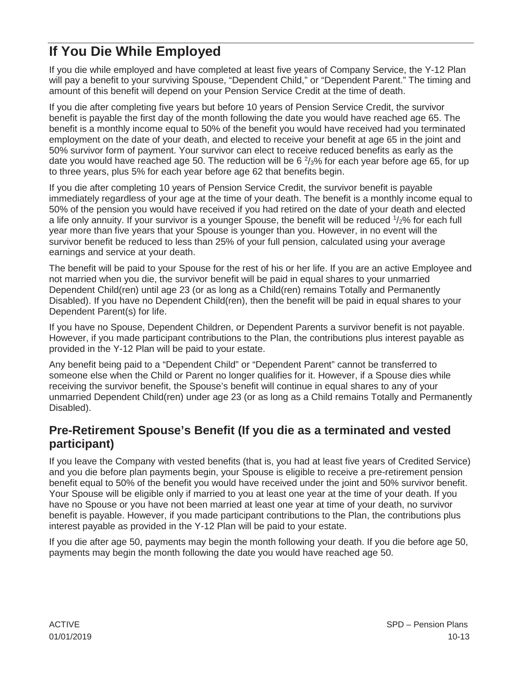# **If You Die While Employed**

If you die while employed and have completed at least five years of Company Service, the Y-12 Plan will pay a benefit to your surviving Spouse, "Dependent Child," or "Dependent Parent." The timing and amount of this benefit will depend on your Pension Service Credit at the time of death.

If you die after completing five years but before 10 years of Pension Service Credit, the survivor benefit is payable the first day of the month following the date you would have reached age 65. The benefit is a monthly income equal to 50% of the benefit you would have received had you terminated employment on the date of your death, and elected to receive your benefit at age 65 in the joint and 50% survivor form of payment. Your survivor can elect to receive reduced benefits as early as the date you would have reached age 50. The reduction will be 6  $\frac{2}{3}$ % for each year before age 65, for up to three years, plus 5% for each year before age 62 that benefits begin.

If you die after completing 10 years of Pension Service Credit, the survivor benefit is payable immediately regardless of your age at the time of your death. The benefit is a monthly income equal to 50% of the pension you would have received if you had retired on the date of your death and elected a life only annuity. If your survivor is a younger Spouse, the benefit will be reduced  $1/2\%$  for each full year more than five years that your Spouse is younger than you. However, in no event will the survivor benefit be reduced to less than 25% of your full pension, calculated using your average earnings and service at your death.

The benefit will be paid to your Spouse for the rest of his or her life. If you are an active Employee and not married when you die, the survivor benefit will be paid in equal shares to your unmarried Dependent Child(ren) until age 23 (or as long as a Child(ren) remains Totally and Permanently Disabled). If you have no Dependent Child(ren), then the benefit will be paid in equal shares to your Dependent Parent(s) for life.

If you have no Spouse, Dependent Children, or Dependent Parents a survivor benefit is not payable. However, if you made participant contributions to the Plan, the contributions plus interest payable as provided in the Y-12 Plan will be paid to your estate.

Any benefit being paid to a "Dependent Child" or "Dependent Parent" cannot be transferred to someone else when the Child or Parent no longer qualifies for it. However, if a Spouse dies while receiving the survivor benefit, the Spouse's benefit will continue in equal shares to any of your unmarried Dependent Child(ren) under age 23 (or as long as a Child remains Totally and Permanently Disabled).

#### **Pre-Retirement Spouse's Benefit (If you die as a terminated and vested participant)**

If you leave the Company with vested benefits (that is, you had at least five years of Credited Service) and you die before plan payments begin, your Spouse is eligible to receive a pre-retirement pension benefit equal to 50% of the benefit you would have received under the joint and 50% survivor benefit. Your Spouse will be eligible only if married to you at least one year at the time of your death. If you have no Spouse or you have not been married at least one year at time of your death, no survivor benefit is payable. However, if you made participant contributions to the Plan, the contributions plus interest payable as provided in the Y-12 Plan will be paid to your estate.

If you die after age 50, payments may begin the month following your death. If you die before age 50, payments may begin the month following the date you would have reached age 50.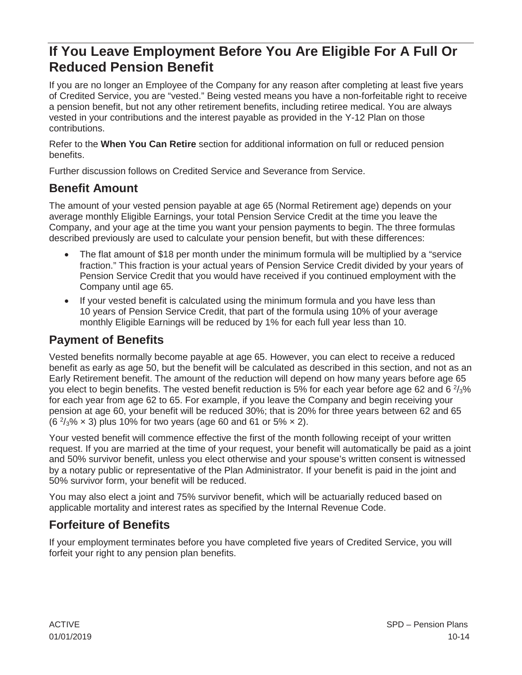### **If You Leave Employment Before You Are Eligible For A Full Or Reduced Pension Benefit**

If you are no longer an Employee of the Company for any reason after completing at least five years of Credited Service, you are "vested." Being vested means you have a non-forfeitable right to receive a pension benefit, but not any other retirement benefits, including retiree medical. You are always vested in your contributions and the interest payable as provided in the Y-12 Plan on those contributions.

Refer to the **When You Can Retire** section for additional information on full or reduced pension benefits.

Further discussion follows on Credited Service and Severance from Service.

### **Benefit Amount**

The amount of your vested pension payable at age 65 (Normal Retirement age) depends on your average monthly Eligible Earnings, your total Pension Service Credit at the time you leave the Company, and your age at the time you want your pension payments to begin. The three formulas described previously are used to calculate your pension benefit, but with these differences:

- The flat amount of \$18 per month under the minimum formula will be multiplied by a "service" fraction." This fraction is your actual years of Pension Service Credit divided by your years of Pension Service Credit that you would have received if you continued employment with the Company until age 65.
- If your vested benefit is calculated using the minimum formula and you have less than 10 years of Pension Service Credit, that part of the formula using 10% of your average monthly Eligible Earnings will be reduced by 1% for each full year less than 10.

### **Payment of Benefits**

Vested benefits normally become payable at age 65. However, you can elect to receive a reduced benefit as early as age 50, but the benefit will be calculated as described in this section, and not as an Early Retirement benefit. The amount of the reduction will depend on how many years before age 65 you elect to begin benefits. The vested benefit reduction is 5% for each year before age 62 and 6  $\frac{2}{3}$ % for each year from age 62 to 65. For example, if you leave the Company and begin receiving your pension at age 60, your benefit will be reduced 30%; that is 20% for three years between 62 and 65  $(6 \frac{2}{3}\% \times 3)$  plus 10% for two years (age 60 and 61 or 5%  $\times$  2).

Your vested benefit will commence effective the first of the month following receipt of your written request. If you are married at the time of your request, your benefit will automatically be paid as a joint and 50% survivor benefit, unless you elect otherwise and your spouse's written consent is witnessed by a notary public or representative of the Plan Administrator. If your benefit is paid in the joint and 50% survivor form, your benefit will be reduced.

You may also elect a joint and 75% survivor benefit, which will be actuarially reduced based on applicable mortality and interest rates as specified by the Internal Revenue Code.

### **Forfeiture of Benefits**

If your employment terminates before you have completed five years of Credited Service, you will forfeit your right to any pension plan benefits.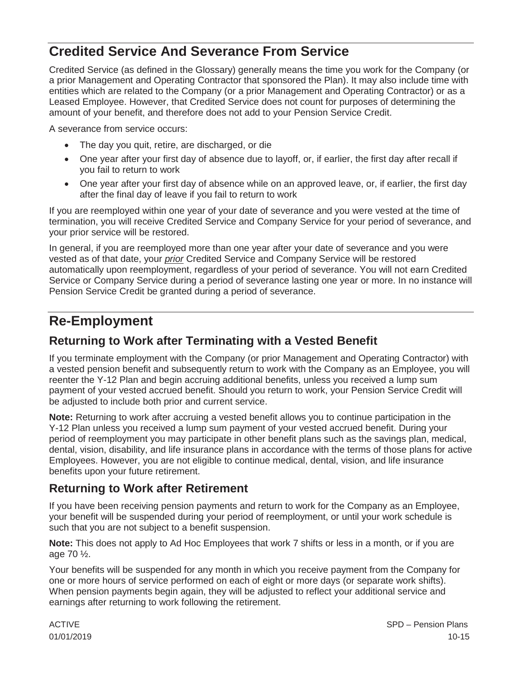### **Credited Service And Severance From Service**

Credited Service (as defined in the Glossary) generally means the time you work for the Company (or a prior Management and Operating Contractor that sponsored the Plan). It may also include time with entities which are related to the Company (or a prior Management and Operating Contractor) or as a Leased Employee. However, that Credited Service does not count for purposes of determining the amount of your benefit, and therefore does not add to your Pension Service Credit.

A severance from service occurs:

- The day you quit, retire, are discharged, or die
- One year after your first day of absence due to layoff, or, if earlier, the first day after recall if you fail to return to work
- One vear after your first day of absence while on an approved leave, or, if earlier, the first day after the final day of leave if you fail to return to work

If you are reemployed within one year of your date of severance and you were vested at the time of termination, you will receive Credited Service and Company Service for your period of severance, and your prior service will be restored.

In general, if you are reemployed more than one year after your date of severance and you were vested as of that date, your *prior* Credited Service and Company Service will be restored automatically upon reemployment, regardless of your period of severance. You will not earn Credited Service or Company Service during a period of severance lasting one year or more. In no instance will Pension Service Credit be granted during a period of severance.

### **Re-Employment**

### **Returning to Work after Terminating with a Vested Benefit**

If you terminate employment with the Company (or prior Management and Operating Contractor) with a vested pension benefit and subsequently return to work with the Company as an Employee, you will reenter the Y-12 Plan and begin accruing additional benefits, unless you received a lump sum payment of your vested accrued benefit. Should you return to work, your Pension Service Credit will be adjusted to include both prior and current service.

**Note:** Returning to work after accruing a vested benefit allows you to continue participation in the Y-12 Plan unless you received a lump sum payment of your vested accrued benefit. During your period of reemployment you may participate in other benefit plans such as the savings plan, medical, dental, vision, disability, and life insurance plans in accordance with the terms of those plans for active Employees. However, you are not eligible to continue medical, dental, vision, and life insurance benefits upon your future retirement.

#### **Returning to Work after Retirement**

If you have been receiving pension payments and return to work for the Company as an Employee, your benefit will be suspended during your period of reemployment, or until your work schedule is such that you are not subject to a benefit suspension.

**Note:** This does not apply to Ad Hoc Employees that work 7 shifts or less in a month, or if you are age 70 ½.

Your benefits will be suspended for any month in which you receive payment from the Company for one or more hours of service performed on each of eight or more days (or separate work shifts). When pension payments begin again, they will be adjusted to reflect your additional service and earnings after returning to work following the retirement.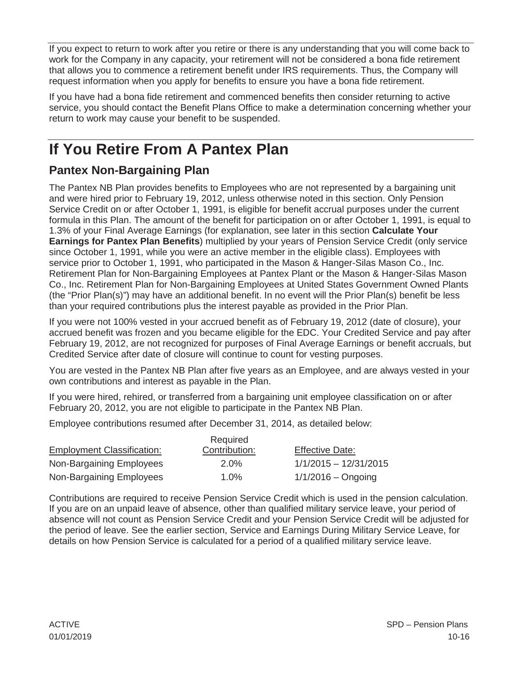If you expect to return to work after you retire or there is any understanding that you will come back to work for the Company in any capacity, your retirement will not be considered a bona fide retirement that allows you to commence a retirement benefit under IRS requirements. Thus, the Company will request information when you apply for benefits to ensure you have a bona fide retirement.

If you have had a bona fide retirement and commenced benefits then consider returning to active service, you should contact the Benefit Plans Office to make a determination concerning whether your return to work may cause your benefit to be suspended.

# **If You Retire From A Pantex Plan**

### **Pantex Non-Bargaining Plan**

The Pantex NB Plan provides benefits to Employees who are not represented by a bargaining unit and were hired prior to February 19, 2012, unless otherwise noted in this section. Only Pension Service Credit on or after October 1, 1991, is eligible for benefit accrual purposes under the current formula in this Plan. The amount of the benefit for participation on or after October 1, 1991, is equal to 1.3% of your Final Average Earnings (for explanation, see later in this section **Calculate Your Earnings for Pantex Plan Benefits**) multiplied by your years of Pension Service Credit (only service since October 1, 1991, while you were an active member in the eligible class). Employees with service prior to October 1, 1991, who participated in the Mason & Hanger-Silas Mason Co., Inc. Retirement Plan for Non-Bargaining Employees at Pantex Plant or the Mason & Hanger-Silas Mason Co., Inc. Retirement Plan for Non-Bargaining Employees at United States Government Owned Plants (the "Prior Plan(s)") may have an additional benefit. In no event will the Prior Plan(s) benefit be less than your required contributions plus the interest payable as provided in the Prior Plan.

If you were not 100% vested in your accrued benefit as of February 19, 2012 (date of closure), your accrued benefit was frozen and you became eligible for the EDC. Your Credited Service and pay after February 19, 2012, are not recognized for purposes of Final Average Earnings or benefit accruals, but Credited Service after date of closure will continue to count for vesting purposes.

You are vested in the Pantex NB Plan after five years as an Employee, and are always vested in your own contributions and interest as payable in the Plan.

If you were hired, rehired, or transferred from a bargaining unit employee classification on or after February 20, 2012, you are not eligible to participate in the Pantex NB Plan.

Employee contributions resumed after December 31, 2014, as detailed below:

|                                   | Required      |                         |
|-----------------------------------|---------------|-------------------------|
| <b>Employment Classification:</b> | Contribution: | <b>Effective Date:</b>  |
| Non-Bargaining Employees          | $2.0\%$       | $1/1/2015 - 12/31/2015$ |
| Non-Bargaining Employees          | $1.0\%$       | $1/1/2016 -$ Ongoing    |

Contributions are required to receive Pension Service Credit which is used in the pension calculation. If you are on an unpaid leave of absence, other than qualified military service leave, your period of absence will not count as Pension Service Credit and your Pension Service Credit will be adjusted for the period of leave. See the earlier section, Service and Earnings During Military Service Leave, for details on how Pension Service is calculated for a period of a qualified military service leave.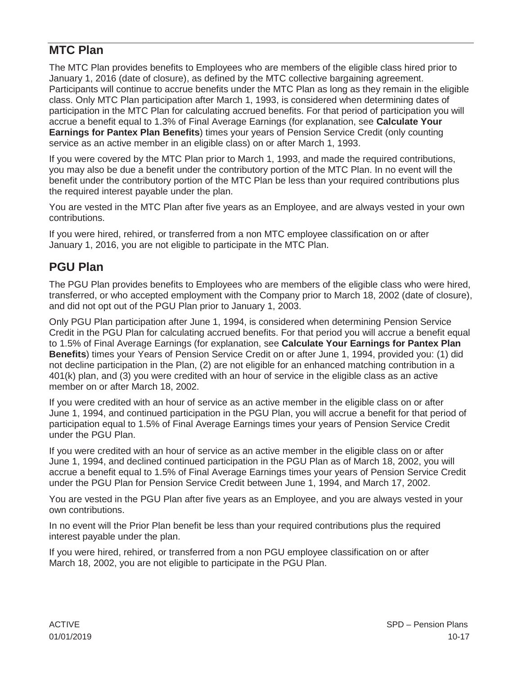### **MTC Plan**

The MTC Plan provides benefits to Employees who are members of the eligible class hired prior to January 1, 2016 (date of closure), as defined by the MTC collective bargaining agreement. Participants will continue to accrue benefits under the MTC Plan as long as they remain in the eligible class. Only MTC Plan participation after March 1, 1993, is considered when determining dates of participation in the MTC Plan for calculating accrued benefits. For that period of participation you will accrue a benefit equal to 1.3% of Final Average Earnings (for explanation, see **Calculate Your Earnings for Pantex Plan Benefits**) times your years of Pension Service Credit (only counting service as an active member in an eligible class) on or after March 1, 1993.

If you were covered by the MTC Plan prior to March 1, 1993, and made the required contributions, you may also be due a benefit under the contributory portion of the MTC Plan. In no event will the benefit under the contributory portion of the MTC Plan be less than your required contributions plus the required interest payable under the plan.

You are vested in the MTC Plan after five years as an Employee, and are always vested in your own contributions.

If you were hired, rehired, or transferred from a non MTC employee classification on or after January 1, 2016, you are not eligible to participate in the MTC Plan.

### **PGU Plan**

The PGU Plan provides benefits to Employees who are members of the eligible class who were hired, transferred, or who accepted employment with the Company prior to March 18, 2002 (date of closure), and did not opt out of the PGU Plan prior to January 1, 2003.

Only PGU Plan participation after June 1, 1994, is considered when determining Pension Service Credit in the PGU Plan for calculating accrued benefits. For that period you will accrue a benefit equal to 1.5% of Final Average Earnings (for explanation, see **Calculate Your Earnings for Pantex Plan Benefits**) times your Years of Pension Service Credit on or after June 1, 1994, provided you: (1) did not decline participation in the Plan, (2) are not eligible for an enhanced matching contribution in a 401(k) plan, and (3) you were credited with an hour of service in the eligible class as an active member on or after March 18, 2002.

If you were credited with an hour of service as an active member in the eligible class on or after June 1, 1994, and continued participation in the PGU Plan, you will accrue a benefit for that period of participation equal to 1.5% of Final Average Earnings times your years of Pension Service Credit under the PGU Plan.

If you were credited with an hour of service as an active member in the eligible class on or after June 1, 1994, and declined continued participation in the PGU Plan as of March 18, 2002, you will accrue a benefit equal to 1.5% of Final Average Earnings times your years of Pension Service Credit under the PGU Plan for Pension Service Credit between June 1, 1994, and March 17, 2002.

You are vested in the PGU Plan after five years as an Employee, and you are always vested in your own contributions.

In no event will the Prior Plan benefit be less than your required contributions plus the required interest payable under the plan.

If you were hired, rehired, or transferred from a non PGU employee classification on or after March 18, 2002, you are not eligible to participate in the PGU Plan.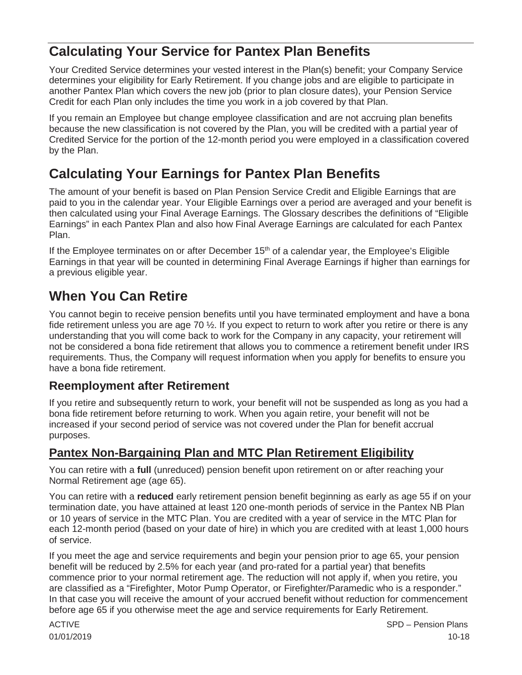## **Calculating Your Service for Pantex Plan Benefits**

Your Credited Service determines your vested interest in the Plan(s) benefit; your Company Service determines your eligibility for Early Retirement. If you change jobs and are eligible to participate in another Pantex Plan which covers the new job (prior to plan closure dates), your Pension Service Credit for each Plan only includes the time you work in a job covered by that Plan.

If you remain an Employee but change employee classification and are not accruing plan benefits because the new classification is not covered by the Plan, you will be credited with a partial year of Credited Service for the portion of the 12-month period you were employed in a classification covered by the Plan.

# **Calculating Your Earnings for Pantex Plan Benefits**

The amount of your benefit is based on Plan Pension Service Credit and Eligible Earnings that are paid to you in the calendar year. Your Eligible Earnings over a period are averaged and your benefit is then calculated using your Final Average Earnings. The Glossary describes the definitions of "Eligible Earnings" in each Pantex Plan and also how Final Average Earnings are calculated for each Pantex Plan.

If the Employee terminates on or after December  $15<sup>th</sup>$  of a calendar year, the Employee's Eligible Earnings in that year will be counted in determining Final Average Earnings if higher than earnings for a previous eligible year.

# **When You Can Retire**

You cannot begin to receive pension benefits until you have terminated employment and have a bona fide retirement unless you are age 70  $\frac{1}{2}$ . If you expect to return to work after you retire or there is any understanding that you will come back to work for the Company in any capacity, your retirement will not be considered a bona fide retirement that allows you to commence a retirement benefit under IRS requirements. Thus, the Company will request information when you apply for benefits to ensure you have a bona fide retirement.

### **Reemployment after Retirement**

If you retire and subsequently return to work, your benefit will not be suspended as long as you had a bona fide retirement before returning to work. When you again retire, your benefit will not be increased if your second period of service was not covered under the Plan for benefit accrual purposes.

### **Pantex Non-Bargaining Plan and MTC Plan Retirement Eligibility**

You can retire with a **full** (unreduced) pension benefit upon retirement on or after reaching your Normal Retirement age (age 65).

You can retire with a **reduced** early retirement pension benefit beginning as early as age 55 if on your termination date, you have attained at least 120 one-month periods of service in the Pantex NB Plan or 10 years of service in the MTC Plan. You are credited with a year of service in the MTC Plan for each 12-month period (based on your date of hire) in which you are credited with at least 1,000 hours of service.

If you meet the age and service requirements and begin your pension prior to age 65, your pension benefit will be reduced by 2.5% for each year (and pro-rated for a partial year) that benefits commence prior to your normal retirement age. The reduction will not apply if, when you retire, you are classified as a "Firefighter, Motor Pump Operator, or Firefighter/Paramedic who is a responder." In that case you will receive the amount of your accrued benefit without reduction for commencement before age 65 if you otherwise meet the age and service requirements for Early Retirement.

ACTIVE **SPD** – Pension Plans 01/01/2019 10-18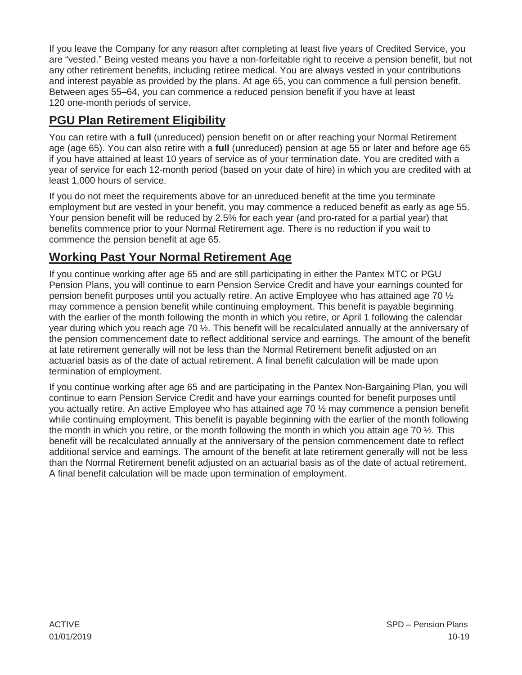If you leave the Company for any reason after completing at least five years of Credited Service, you are "vested." Being vested means you have a non-forfeitable right to receive a pension benefit, but not any other retirement benefits, including retiree medical. You are always vested in your contributions and interest payable as provided by the plans. At age 65, you can commence a full pension benefit. Between ages 55–64, you can commence a reduced pension benefit if you have at least 120 one-month periods of service.

### **PGU Plan Retirement Eligibility**

You can retire with a **full** (unreduced) pension benefit on or after reaching your Normal Retirement age (age 65). You can also retire with a **full** (unreduced) pension at age 55 or later and before age 65 if you have attained at least 10 years of service as of your termination date. You are credited with a year of service for each 12-month period (based on your date of hire) in which you are credited with at least 1,000 hours of service.

If you do not meet the requirements above for an unreduced benefit at the time you terminate employment but are vested in your benefit, you may commence a reduced benefit as early as age 55. Your pension benefit will be reduced by 2.5% for each year (and pro-rated for a partial year) that benefits commence prior to your Normal Retirement age. There is no reduction if you wait to commence the pension benefit at age 65.

### **Working Past Your Normal Retirement Age**

If you continue working after age 65 and are still participating in either the Pantex MTC or PGU Pension Plans, you will continue to earn Pension Service Credit and have your earnings counted for pension benefit purposes until you actually retire. An active Employee who has attained age 70 ½ may commence a pension benefit while continuing employment. This benefit is payable beginning with the earlier of the month following the month in which you retire, or April 1 following the calendar year during which you reach age 70 ½. This benefit will be recalculated annually at the anniversary of the pension commencement date to reflect additional service and earnings. The amount of the benefit at late retirement generally will not be less than the Normal Retirement benefit adjusted on an actuarial basis as of the date of actual retirement. A final benefit calculation will be made upon termination of employment.

If you continue working after age 65 and are participating in the Pantex Non-Bargaining Plan, you will continue to earn Pension Service Credit and have your earnings counted for benefit purposes until you actually retire. An active Employee who has attained age 70 ½ may commence a pension benefit while continuing employment. This benefit is payable beginning with the earlier of the month following the month in which you retire, or the month following the month in which you attain age 70 ½. This benefit will be recalculated annually at the anniversary of the pension commencement date to reflect additional service and earnings. The amount of the benefit at late retirement generally will not be less than the Normal Retirement benefit adjusted on an actuarial basis as of the date of actual retirement. A final benefit calculation will be made upon termination of employment.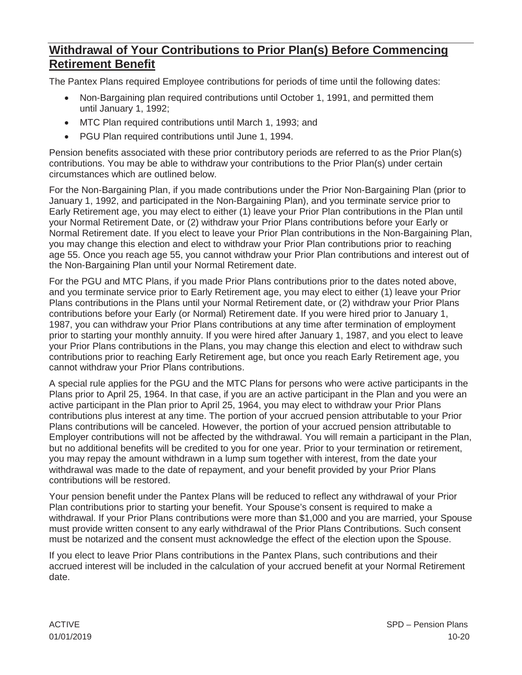### **Withdrawal of Your Contributions to Prior Plan(s) Before Commencing Retirement Benefit**

The Pantex Plans required Employee contributions for periods of time until the following dates:

- Non-Bargaining plan required contributions until October 1, 1991, and permitted them until January 1, 1992;
- MTC Plan required contributions until March 1, 1993; and
- PGU Plan required contributions until June 1, 1994.

Pension benefits associated with these prior contributory periods are referred to as the Prior Plan(s) contributions. You may be able to withdraw your contributions to the Prior Plan(s) under certain circumstances which are outlined below.

For the Non-Bargaining Plan, if you made contributions under the Prior Non-Bargaining Plan (prior to January 1, 1992, and participated in the Non-Bargaining Plan), and you terminate service prior to Early Retirement age, you may elect to either (1) leave your Prior Plan contributions in the Plan until your Normal Retirement Date, or (2) withdraw your Prior Plans contributions before your Early or Normal Retirement date. If you elect to leave your Prior Plan contributions in the Non-Bargaining Plan, you may change this election and elect to withdraw your Prior Plan contributions prior to reaching age 55. Once you reach age 55, you cannot withdraw your Prior Plan contributions and interest out of the Non-Bargaining Plan until your Normal Retirement date.

For the PGU and MTC Plans, if you made Prior Plans contributions prior to the dates noted above, and you terminate service prior to Early Retirement age, you may elect to either (1) leave your Prior Plans contributions in the Plans until your Normal Retirement date, or (2) withdraw your Prior Plans contributions before your Early (or Normal) Retirement date. If you were hired prior to January 1, 1987, you can withdraw your Prior Plans contributions at any time after termination of employment prior to starting your monthly annuity. If you were hired after January 1, 1987, and you elect to leave your Prior Plans contributions in the Plans, you may change this election and elect to withdraw such contributions prior to reaching Early Retirement age, but once you reach Early Retirement age, you cannot withdraw your Prior Plans contributions.

A special rule applies for the PGU and the MTC Plans for persons who were active participants in the Plans prior to April 25, 1964. In that case, if you are an active participant in the Plan and you were an active participant in the Plan prior to April 25, 1964, you may elect to withdraw your Prior Plans contributions plus interest at any time. The portion of your accrued pension attributable to your Prior Plans contributions will be canceled. However, the portion of your accrued pension attributable to Employer contributions will not be affected by the withdrawal. You will remain a participant in the Plan, but no additional benefits will be credited to you for one year. Prior to your termination or retirement, you may repay the amount withdrawn in a lump sum together with interest, from the date your withdrawal was made to the date of repayment, and your benefit provided by your Prior Plans contributions will be restored.

Your pension benefit under the Pantex Plans will be reduced to reflect any withdrawal of your Prior Plan contributions prior to starting your benefit. Your Spouse's consent is required to make a withdrawal. If your Prior Plans contributions were more than \$1,000 and you are married, your Spouse must provide written consent to any early withdrawal of the Prior Plans Contributions. Such consent must be notarized and the consent must acknowledge the effect of the election upon the Spouse.

If you elect to leave Prior Plans contributions in the Pantex Plans, such contributions and their accrued interest will be included in the calculation of your accrued benefit at your Normal Retirement date.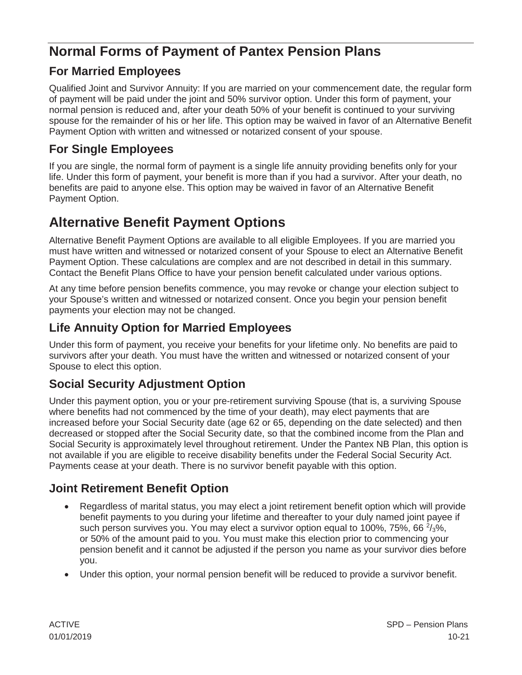# **Normal Forms of Payment of Pantex Pension Plans**

### **For Married Employees**

Qualified Joint and Survivor Annuity: If you are married on your commencement date, the regular form of payment will be paid under the joint and 50% survivor option. Under this form of payment, your normal pension is reduced and, after your death 50% of your benefit is continued to your surviving spouse for the remainder of his or her life. This option may be waived in favor of an Alternative Benefit Payment Option with written and witnessed or notarized consent of your spouse.

### **For Single Employees**

If you are single, the normal form of payment is a single life annuity providing benefits only for your life. Under this form of payment, your benefit is more than if you had a survivor. After your death, no benefits are paid to anyone else. This option may be waived in favor of an Alternative Benefit Payment Option.

# **Alternative Benefit Payment Options**

Alternative Benefit Payment Options are available to all eligible Employees. If you are married you must have written and witnessed or notarized consent of your Spouse to elect an Alternative Benefit Payment Option. These calculations are complex and are not described in detail in this summary. Contact the Benefit Plans Office to have your pension benefit calculated under various options.

At any time before pension benefits commence, you may revoke or change your election subject to your Spouse's written and witnessed or notarized consent. Once you begin your pension benefit payments your election may not be changed.

### **Life Annuity Option for Married Employees**

Under this form of payment, you receive your benefits for your lifetime only. No benefits are paid to survivors after your death. You must have the written and witnessed or notarized consent of your Spouse to elect this option.

### **Social Security Adjustment Option**

Under this payment option, you or your pre-retirement surviving Spouse (that is, a surviving Spouse where benefits had not commenced by the time of your death), may elect payments that are increased before your Social Security date (age 62 or 65, depending on the date selected) and then decreased or stopped after the Social Security date, so that the combined income from the Plan and Social Security is approximately level throughout retirement. Under the Pantex NB Plan, this option is not available if you are eligible to receive disability benefits under the Federal Social Security Act. Payments cease at your death. There is no survivor benefit payable with this option.

### **Joint Retirement Benefit Option**

- Regardless of marital status, you may elect a joint retirement benefit option which will provide benefit payments to you during your lifetime and thereafter to your duly named joint payee if such person survives you. You may elect a survivor option equal to 100%, 75%, 66 $\frac{2}{3}$ %, or 50% of the amount paid to you. You must make this election prior to commencing your pension benefit and it cannot be adjusted if the person you name as your survivor dies before you.
- Under this option, your normal pension benefit will be reduced to provide a survivor benefit.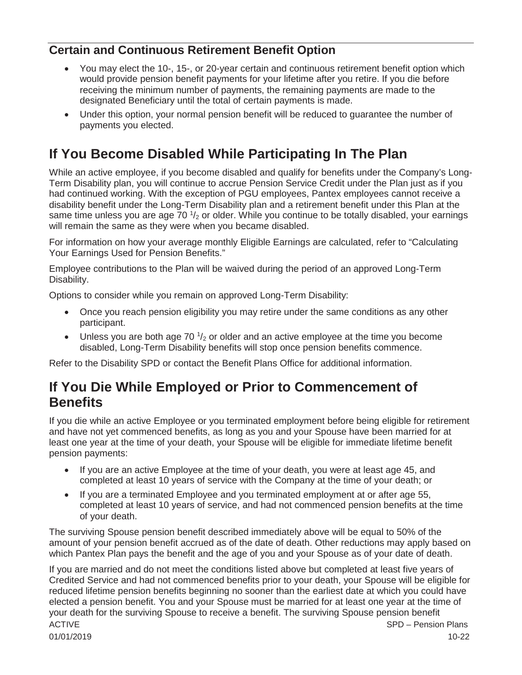#### **Certain and Continuous Retirement Benefit Option**

- You may elect the 10-, 15-, or 20-year certain and continuous retirement benefit option which would provide pension benefit payments for your lifetime after you retire. If you die before receiving the minimum number of payments, the remaining payments are made to the designated Beneficiary until the total of certain payments is made.
- Under this option, your normal pension benefit will be reduced to quarantee the number of payments you elected.

# **If You Become Disabled While Participating In The Plan**

While an active employee, if you become disabled and qualify for benefits under the Company's Long-Term Disability plan, you will continue to accrue Pension Service Credit under the Plan just as if you had continued working. With the exception of PGU employees, Pantex employees cannot receive a disability benefit under the Long-Term Disability plan and a retirement benefit under this Plan at the same time unless you are age 70 $\frac{1}{2}$  or older. While you continue to be totally disabled, your earnings will remain the same as they were when you became disabled.

For information on how your average monthly Eligible Earnings are calculated, refer to "Calculating Your Earnings Used for Pension Benefits."

Employee contributions to the Plan will be waived during the period of an approved Long-Term Disability.

Options to consider while you remain on approved Long-Term Disability:

- Once you reach pension eligibility you may retire under the same conditions as any other participant.
- Unless you are both age 70  $\frac{1}{2}$  or older and an active employee at the time you become disabled, Long-Term Disability benefits will stop once pension benefits commence.

Refer to the Disability SPD or contact the Benefit Plans Office for additional information.

### **If You Die While Employed or Prior to Commencement of Benefits**

If you die while an active Employee or you terminated employment before being eligible for retirement and have not yet commenced benefits, as long as you and your Spouse have been married for at least one year at the time of your death, your Spouse will be eligible for immediate lifetime benefit pension payments:

- If you are an active Employee at the time of your death, you were at least age 45, and completed at least 10 years of service with the Company at the time of your death; or
- If you are a terminated Employee and you terminated employment at or after age 55, completed at least 10 years of service, and had not commenced pension benefits at the time of your death.

The surviving Spouse pension benefit described immediately above will be equal to 50% of the amount of your pension benefit accrued as of the date of death. Other reductions may apply based on which Pantex Plan pays the benefit and the age of you and your Spouse as of your date of death.

ACTIVE **SPD** – Pension Plans 01/01/2019 10-22 If you are married and do not meet the conditions listed above but completed at least five years of Credited Service and had not commenced benefits prior to your death, your Spouse will be eligible for reduced lifetime pension benefits beginning no sooner than the earliest date at which you could have elected a pension benefit. You and your Spouse must be married for at least one year at the time of your death for the surviving Spouse to receive a benefit. The surviving Spouse pension benefit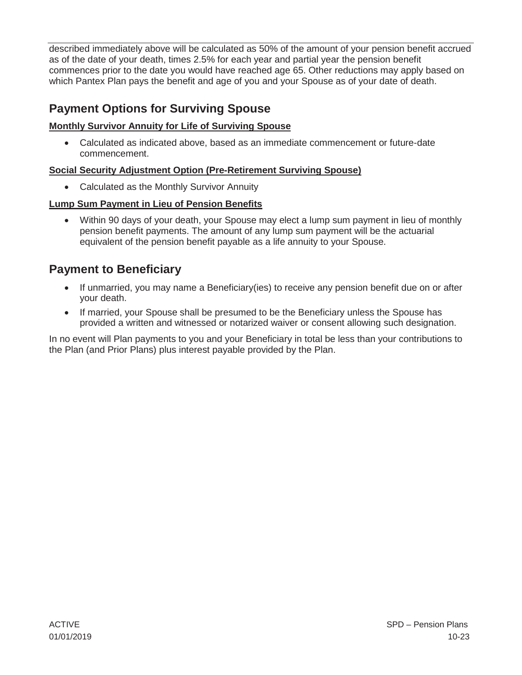described immediately above will be calculated as 50% of the amount of your pension benefit accrued as of the date of your death, times 2.5% for each year and partial year the pension benefit commences prior to the date you would have reached age 65. Other reductions may apply based on which Pantex Plan pays the benefit and age of you and your Spouse as of your date of death.

### **Payment Options for Surviving Spouse**

#### **Monthly Survivor Annuity for Life of Surviving Spouse**

• Calculated as indicated above, based as an immediate commencement or future-date commencement.

#### **Social Security Adjustment Option (Pre-Retirement Surviving Spouse)**

• Calculated as the Monthly Survivor Annuity

#### **Lump Sum Payment in Lieu of Pension Benefits**

• Within 90 days of your death, your Spouse may elect a lump sum payment in lieu of monthly pension benefit payments. The amount of any lump sum payment will be the actuarial equivalent of the pension benefit payable as a life annuity to your Spouse.

### **Payment to Beneficiary**

- $\bullet$  If unmarried, you may name a Beneficiary(ies) to receive any pension benefit due on or after your death.
- If married, your Spouse shall be presumed to be the Beneficiary unless the Spouse has provided a written and witnessed or notarized waiver or consent allowing such designation.

In no event will Plan payments to you and your Beneficiary in total be less than your contributions to the Plan (and Prior Plans) plus interest payable provided by the Plan.